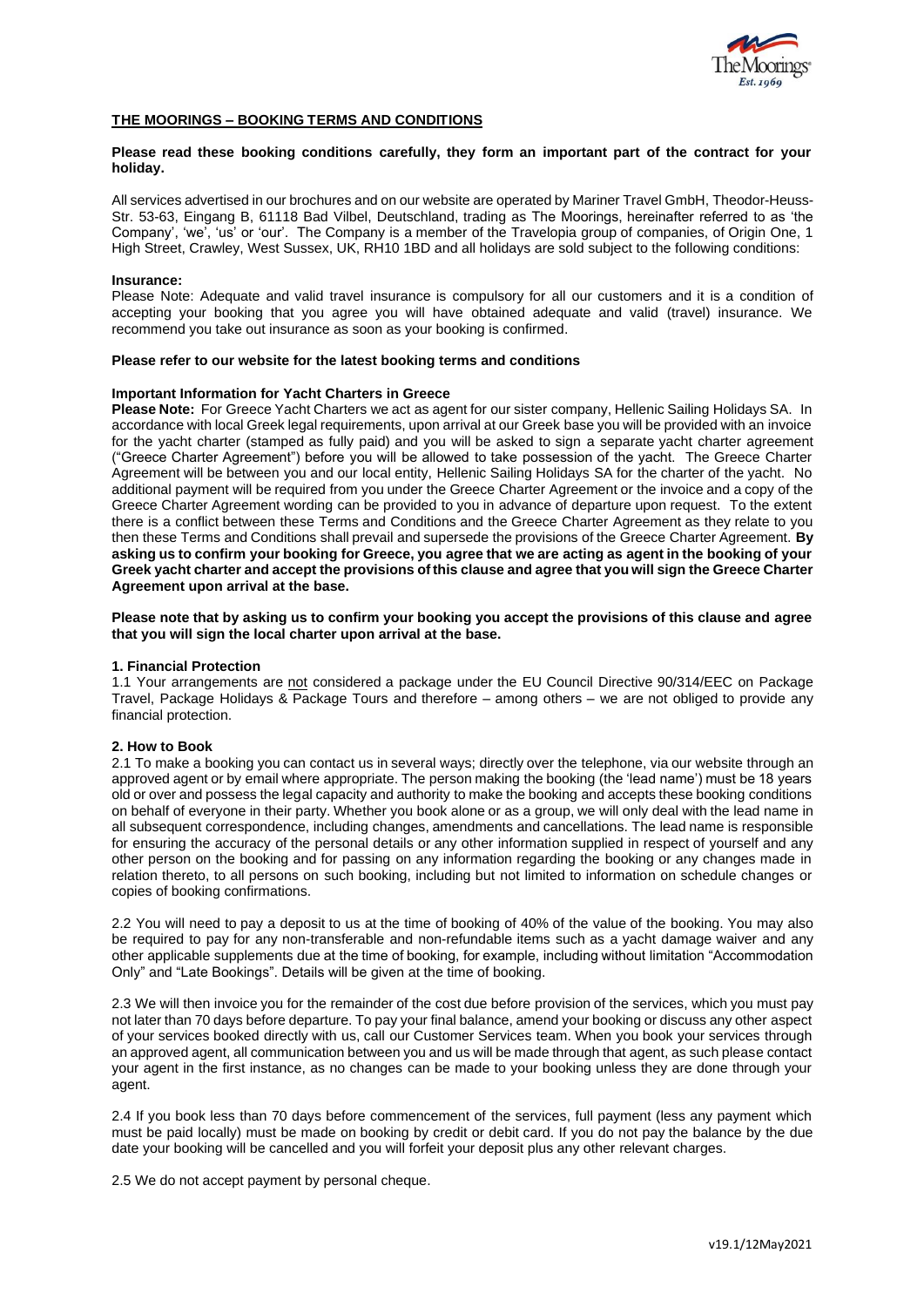

## **THE MOORINGS – BOOKING TERMS AND CONDITIONS**

### **Please read these booking conditions carefully, they form an important part of the contract for your holiday.**

All services advertised in our brochures and on our website are operated by Mariner Travel GmbH, Theodor-Heuss-Str. 53-63, Eingang B, 61118 Bad Vilbel, Deutschland, trading as The Moorings, hereinafter referred to as 'the Company', 'we', 'us' or 'our'. The Company is a member of the Travelopia group of companies, of Origin One, 1 High Street, Crawley, West Sussex, UK, RH10 1BD and all holidays are sold subject to the following conditions:

### **Insurance:**

Please Note: Adequate and valid travel insurance is compulsory for all our customers and it is a condition of accepting your booking that you agree you will have obtained adequate and valid (travel) insurance. We recommend you take out insurance as soon as your booking is confirmed.

### **Please refer to our website for the latest booking terms and conditions**

### **Important Information for Yacht Charters in Greece**

**Please Note:** For Greece Yacht Charters we act as agent for our sister company, Hellenic Sailing Holidays SA. In accordance with local Greek legal requirements, upon arrival at our Greek base you will be provided with an invoice for the yacht charter (stamped as fully paid) and you will be asked to sign a separate yacht charter agreement ("Greece Charter Agreement") before you will be allowed to take possession of the yacht. The Greece Charter Agreement will be between you and our local entity, Hellenic Sailing Holidays SA for the charter of the yacht. No additional payment will be required from you under the Greece Charter Agreement or the invoice and a copy of the Greece Charter Agreement wording can be provided to you in advance of departure upon request. To the extent there is a conflict between these Terms and Conditions and the Greece Charter Agreement as they relate to you then these Terms and Conditions shall prevail and supersede the provisions of the Greece Charter Agreement. **By asking us to confirm your booking for Greece, you agree that we are acting as agent in the booking of your Greek yacht charter and accept the provisions of this clause and agree that you will sign the Greece Charter Agreement upon arrival at the base.** 

**Please note that by asking us to confirm your booking you accept the provisions of this clause and agree that you will sign the local charter upon arrival at the base.** 

#### **1. Financial Protection**

1.1 Your arrangements are not considered a package under the EU Council Directive 90/314/EEC on Package Travel, Package Holidays & Package Tours and therefore – among others – we are not obliged to provide any financial protection.

# **2. How to Book**

2.1 To make a booking you can contact us in several ways; directly over the telephone, via our website through an approved agent or by email where appropriate. The person making the booking (the 'lead name') must be 18 years old or over and possess the legal capacity and authority to make the booking and accepts these booking conditions on behalf of everyone in their party. Whether you book alone or as a group, we will only deal with the lead name in all subsequent correspondence, including changes, amendments and cancellations. The lead name is responsible for ensuring the accuracy of the personal details or any other information supplied in respect of yourself and any other person on the booking and for passing on any information regarding the booking or any changes made in relation thereto, to all persons on such booking, including but not limited to information on schedule changes or copies of booking confirmations.

2.2 You will need to pay a deposit to us at the time of booking of 40% of the value of the booking. You may also be required to pay for any non-transferable and non-refundable items such as a yacht damage waiver and any other applicable supplements due at the time of booking, for example, including without limitation "Accommodation Only" and "Late Bookings". Details will be given at the time of booking.

2.3 We will then invoice you for the remainder of the cost due before provision of the services, which you must pay not later than 70 days before departure. To pay your final balance, amend your booking or discuss any other aspect of your services booked directly with us, call our Customer Services team. When you book your services through an approved agent, all communication between you and us will be made through that agent, as such please contact your agent in the first instance, as no changes can be made to your booking unless they are done through your agent.

2.4 If you book less than 70 days before commencement of the services, full payment (less any payment which must be paid locally) must be made on booking by credit or debit card. If you do not pay the balance by the due date your booking will be cancelled and you will forfeit your deposit plus any other relevant charges.

2.5 We do not accept payment by personal cheque.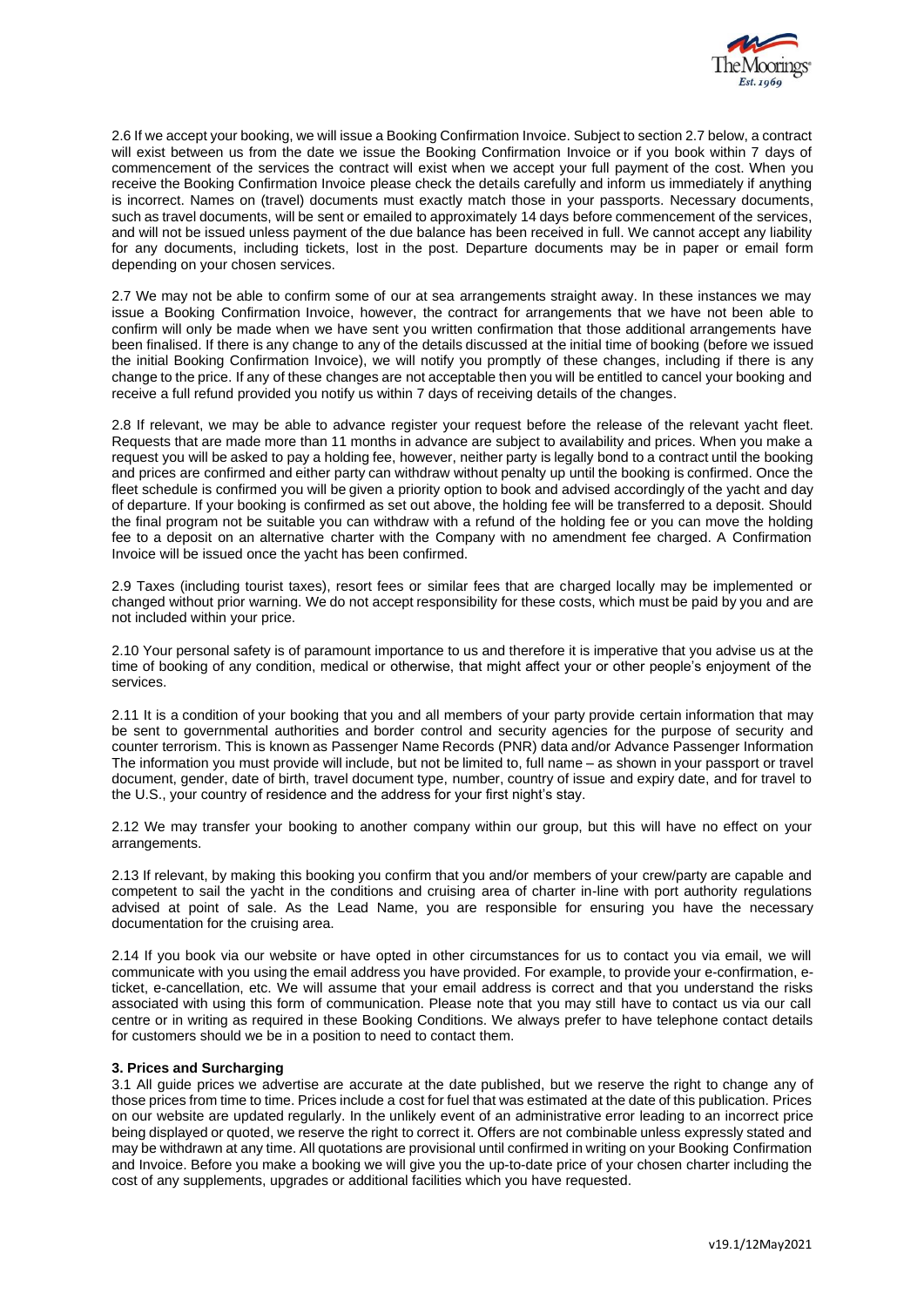

2.6 If we accept your booking, we will issue a Booking Confirmation Invoice. Subject to section 2.7 below, a contract will exist between us from the date we issue the Booking Confirmation Invoice or if you book within 7 days of commencement of the services the contract will exist when we accept your full payment of the cost. When you receive the Booking Confirmation Invoice please check the details carefully and inform us immediately if anything is incorrect. Names on (travel) documents must exactly match those in your passports. Necessary documents, such as travel documents, will be sent or emailed to approximately 14 days before commencement of the services, and will not be issued unless payment of the due balance has been received in full. We cannot accept any liability for any documents, including tickets, lost in the post. Departure documents may be in paper or email form depending on your chosen services.

2.7 We may not be able to confirm some of our at sea arrangements straight away. In these instances we may issue a Booking Confirmation Invoice, however, the contract for arrangements that we have not been able to confirm will only be made when we have sent you written confirmation that those additional arrangements have been finalised. If there is any change to any of the details discussed at the initial time of booking (before we issued the initial Booking Confirmation Invoice), we will notify you promptly of these changes, including if there is any change to the price. If any of these changes are not acceptable then you will be entitled to cancel your booking and receive a full refund provided you notify us within 7 days of receiving details of the changes.

2.8 If relevant, we may be able to advance register your request before the release of the relevant yacht fleet. Requests that are made more than 11 months in advance are subject to availability and prices. When you make a request you will be asked to pay a holding fee, however, neither party is legally bond to a contract until the booking and prices are confirmed and either party can withdraw without penalty up until the booking is confirmed. Once the fleet schedule is confirmed you will be given a priority option to book and advised accordingly of the yacht and day of departure. If your booking is confirmed as set out above, the holding fee will be transferred to a deposit. Should the final program not be suitable you can withdraw with a refund of the holding fee or you can move the holding fee to a deposit on an alternative charter with the Company with no amendment fee charged. A Confirmation Invoice will be issued once the yacht has been confirmed.

2.9 Taxes (including tourist taxes), resort fees or similar fees that are charged locally may be implemented or changed without prior warning. We do not accept responsibility for these costs, which must be paid by you and are not included within your price.

2.10 Your personal safety is of paramount importance to us and therefore it is imperative that you advise us at the time of booking of any condition, medical or otherwise, that might affect your or other people's enjoyment of the services.

2.11 It is a condition of your booking that you and all members of your party provide certain information that may be sent to governmental authorities and border control and security agencies for the purpose of security and counter terrorism. This is known as Passenger Name Records (PNR) data and/or Advance Passenger Information The information you must provide will include, but not be limited to, full name – as shown in your passport or travel document, gender, date of birth, travel document type, number, country of issue and expiry date, and for travel to the U.S., your country of residence and the address for your first night's stay.

2.12 We may transfer your booking to another company within our group, but this will have no effect on your arrangements.

2.13 If relevant, by making this booking you confirm that you and/or members of your crew/party are capable and competent to sail the yacht in the conditions and cruising area of charter in-line with port authority regulations advised at point of sale. As the Lead Name, you are responsible for ensuring you have the necessary documentation for the cruising area.

2.14 If you book via our website or have opted in other circumstances for us to contact you via email, we will communicate with you using the email address you have provided. For example, to provide your e-confirmation, eticket, e-cancellation, etc. We will assume that your email address is correct and that you understand the risks associated with using this form of communication. Please note that you may still have to contact us via our call centre or in writing as required in these Booking Conditions. We always prefer to have telephone contact details for customers should we be in a position to need to contact them.

## **3. Prices and Surcharging**

3.1 All guide prices we advertise are accurate at the date published, but we reserve the right to change any of those prices from time to time. Prices include a cost for fuel that was estimated at the date of this publication. Prices on our website are updated regularly. In the unlikely event of an administrative error leading to an incorrect price being displayed or quoted, we reserve the right to correct it. Offers are not combinable unless expressly stated and may be withdrawn at any time. All quotations are provisional until confirmed in writing on your Booking Confirmation and Invoice. Before you make a booking we will give you the up-to-date price of your chosen charter including the cost of any supplements, upgrades or additional facilities which you have requested.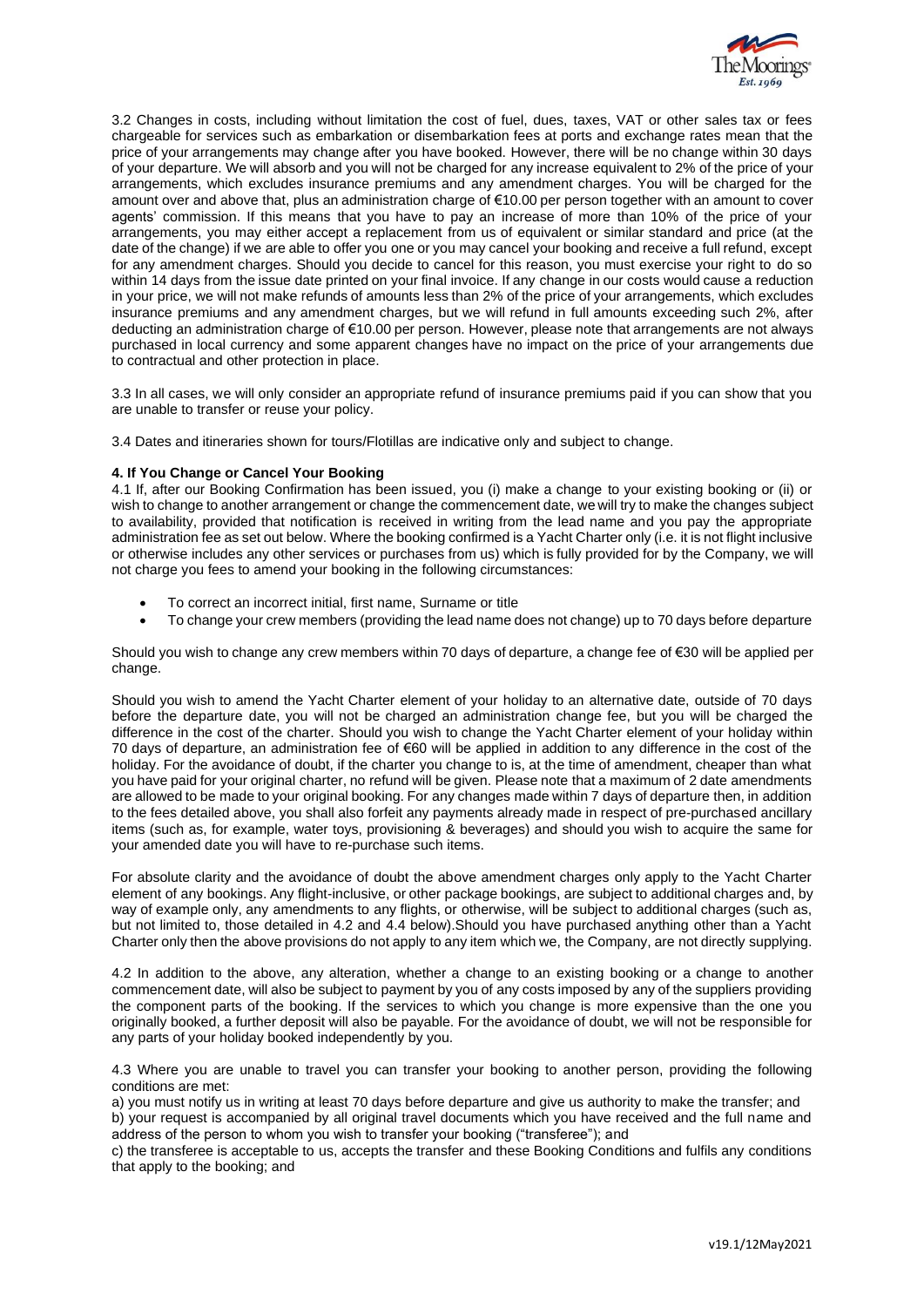

3.2 Changes in costs, including without limitation the cost of fuel, dues, taxes, VAT or other sales tax or fees chargeable for services such as embarkation or disembarkation fees at ports and exchange rates mean that the price of your arrangements may change after you have booked. However, there will be no change within 30 days of your departure. We will absorb and you will not be charged for any increase equivalent to 2% of the price of your arrangements, which excludes insurance premiums and any amendment charges. You will be charged for the amount over and above that, plus an administration charge of €10.00 per person together with an amount to cover agents' commission. If this means that you have to pay an increase of more than 10% of the price of your arrangements, you may either accept a replacement from us of equivalent or similar standard and price (at the date of the change) if we are able to offer you one or you may cancel your booking and receive a full refund, except for any amendment charges. Should you decide to cancel for this reason, you must exercise your right to do so within 14 days from the issue date printed on your final invoice. If any change in our costs would cause a reduction in your price, we will not make refunds of amounts less than 2% of the price of your arrangements, which excludes insurance premiums and any amendment charges, but we will refund in full amounts exceeding such 2%, after deducting an administration charge of €10.00 per person. However, please note that arrangements are not always purchased in local currency and some apparent changes have no impact on the price of your arrangements due to contractual and other protection in place.

3.3 In all cases, we will only consider an appropriate refund of insurance premiums paid if you can show that you are unable to transfer or reuse your policy.

3.4 Dates and itineraries shown for tours/Flotillas are indicative only and subject to change.

## **4. If You Change or Cancel Your Booking**

4.1 If, after our Booking Confirmation has been issued, you (i) make a change to your existing booking or (ii) or wish to change to another arrangement or change the commencement date, we will try to make the changes subject to availability, provided that notification is received in writing from the lead name and you pay the appropriate administration fee as set out below. Where the booking confirmed is a Yacht Charter only (i.e. it is not flight inclusive or otherwise includes any other services or purchases from us) which is fully provided for by the Company, we will not charge you fees to amend your booking in the following circumstances:

- To correct an incorrect initial, first name, Surname or title
- To change your crew members (providing the lead name does not change) up to 70 days before departure

Should you wish to change any crew members within 70 days of departure, a change fee of €30 will be applied per change.

Should you wish to amend the Yacht Charter element of your holiday to an alternative date, outside of 70 days before the departure date, you will not be charged an administration change fee, but you will be charged the difference in the cost of the charter. Should you wish to change the Yacht Charter element of your holiday within 70 days of departure, an administration fee of €60 will be applied in addition to any difference in the cost of the holiday. For the avoidance of doubt, if the charter you change to is, at the time of amendment, cheaper than what you have paid for your original charter, no refund will be given. Please note that a maximum of 2 date amendments are allowed to be made to your original booking. For any changes made within 7 days of departure then, in addition to the fees detailed above, you shall also forfeit any payments already made in respect of pre-purchased ancillary items (such as, for example, water toys, provisioning & beverages) and should you wish to acquire the same for your amended date you will have to re-purchase such items.

For absolute clarity and the avoidance of doubt the above amendment charges only apply to the Yacht Charter element of any bookings. Any flight-inclusive, or other package bookings, are subject to additional charges and, by way of example only, any amendments to any flights, or otherwise, will be subject to additional charges (such as, but not limited to, those detailed in 4.2 and 4.4 below).Should you have purchased anything other than a Yacht Charter only then the above provisions do not apply to any item which we, the Company, are not directly supplying.

4.2 In addition to the above, any alteration, whether a change to an existing booking or a change to another commencement date, will also be subject to payment by you of any costs imposed by any of the suppliers providing the component parts of the booking. If the services to which you change is more expensive than the one you originally booked, a further deposit will also be payable. For the avoidance of doubt, we will not be responsible for any parts of your holiday booked independently by you.

4.3 Where you are unable to travel you can transfer your booking to another person, providing the following conditions are met:

a) you must notify us in writing at least 70 days before departure and give us authority to make the transfer; and b) your request is accompanied by all original travel documents which you have received and the full name and address of the person to whom you wish to transfer your booking ("transferee"); and

c) the transferee is acceptable to us, accepts the transfer and these Booking Conditions and fulfils any conditions that apply to the booking; and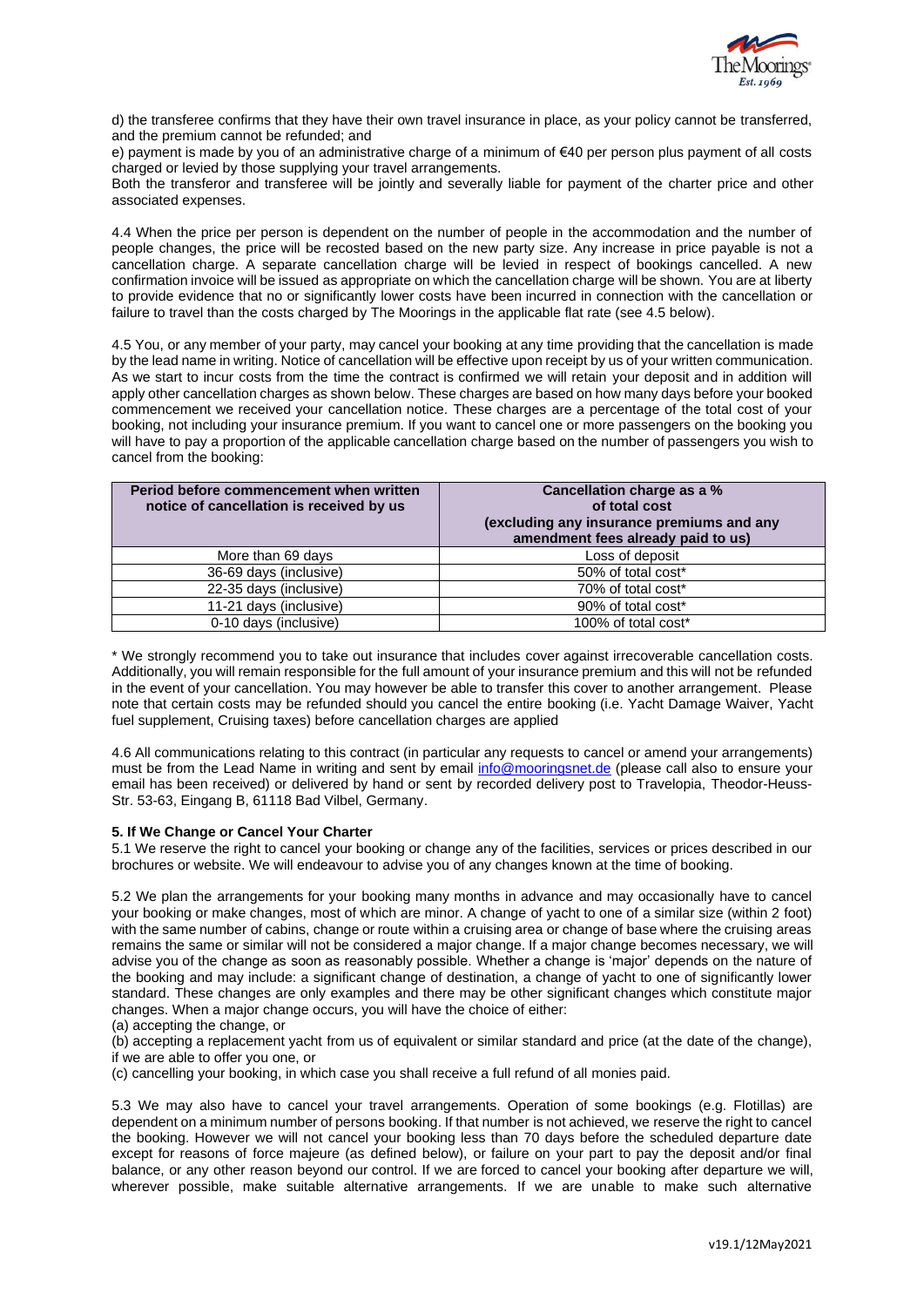

d) the transferee confirms that they have their own travel insurance in place, as your policy cannot be transferred, and the premium cannot be refunded; and

e) payment is made by you of an administrative charge of a minimum of €40 per person plus payment of all costs charged or levied by those supplying your travel arrangements.

Both the transferor and transferee will be jointly and severally liable for payment of the charter price and other associated expenses.

4.4 When the price per person is dependent on the number of people in the accommodation and the number of people changes, the price will be recosted based on the new party size. Any increase in price payable is not a cancellation charge. A separate cancellation charge will be levied in respect of bookings cancelled. A new confirmation invoice will be issued as appropriate on which the cancellation charge will be shown. You are at liberty to provide evidence that no or significantly lower costs have been incurred in connection with the cancellation or failure to travel than the costs charged by The Moorings in the applicable flat rate (see 4.5 below).

4.5 You, or any member of your party, may cancel your booking at any time providing that the cancellation is made by the lead name in writing. Notice of cancellation will be effective upon receipt by us of your written communication. As we start to incur costs from the time the contract is confirmed we will retain your deposit and in addition will apply other cancellation charges as shown below. These charges are based on how many days before your booked commencement we received your cancellation notice. These charges are a percentage of the total cost of your booking, not including your insurance premium. If you want to cancel one or more passengers on the booking you will have to pay a proportion of the applicable cancellation charge based on the number of passengers you wish to cancel from the booking:

| Period before commencement when written<br>notice of cancellation is received by us | Cancellation charge as a %<br>of total cost<br>(excluding any insurance premiums and any<br>amendment fees already paid to us) |
|-------------------------------------------------------------------------------------|--------------------------------------------------------------------------------------------------------------------------------|
| More than 69 days                                                                   | Loss of deposit                                                                                                                |
| 36-69 days (inclusive)                                                              | 50% of total cost*                                                                                                             |
| 22-35 days (inclusive)                                                              | 70% of total cost*                                                                                                             |
| 11-21 days (inclusive)                                                              | 90% of total cost*                                                                                                             |
| 0-10 days (inclusive)                                                               | 100% of total cost*                                                                                                            |

\* We strongly recommend you to take out insurance that includes cover against irrecoverable cancellation costs. Additionally, you will remain responsible for the full amount of your insurance premium and this will not be refunded in the event of your cancellation. You may however be able to transfer this cover to another arrangement. Please note that certain costs may be refunded should you cancel the entire booking (i.e. Yacht Damage Waiver, Yacht fuel supplement, Cruising taxes) before cancellation charges are applied

4.6 All communications relating to this contract (in particular any requests to cancel or amend your arrangements) must be from the Lead Name in writing and sent by emai[l info@mooringsnet.de](mailto:info@mooringsnet.de) (please call also to ensure your email has been received) or delivered by hand or sent by recorded delivery post to Travelopia, Theodor-Heuss-Str. 53-63, Eingang B, 61118 Bad Vilbel, Germany.

## **5. If We Change or Cancel Your Charter**

5.1 We reserve the right to cancel your booking or change any of the facilities, services or prices described in our brochures or website. We will endeavour to advise you of any changes known at the time of booking.

5.2 We plan the arrangements for your booking many months in advance and may occasionally have to cancel your booking or make changes, most of which are minor. A change of yacht to one of a similar size (within 2 foot) with the same number of cabins, change or route within a cruising area or change of base where the cruising areas remains the same or similar will not be considered a major change. If a major change becomes necessary, we will advise you of the change as soon as reasonably possible. Whether a change is 'major' depends on the nature of the booking and may include: a significant change of destination, a change of yacht to one of significantly lower standard. These changes are only examples and there may be other significant changes which constitute major changes. When a major change occurs, you will have the choice of either:

(a) accepting the change, or

(b) accepting a replacement yacht from us of equivalent or similar standard and price (at the date of the change), if we are able to offer you one, or

(c) cancelling your booking, in which case you shall receive a full refund of all monies paid.

5.3 We may also have to cancel your travel arrangements. Operation of some bookings (e.g. Flotillas) are dependent on a minimum number of persons booking. If that number is not achieved, we reserve the right to cancel the booking. However we will not cancel your booking less than 70 days before the scheduled departure date except for reasons of force majeure (as defined below), or failure on your part to pay the deposit and/or final balance, or any other reason beyond our control. If we are forced to cancel your booking after departure we will, wherever possible, make suitable alternative arrangements. If we are unable to make such alternative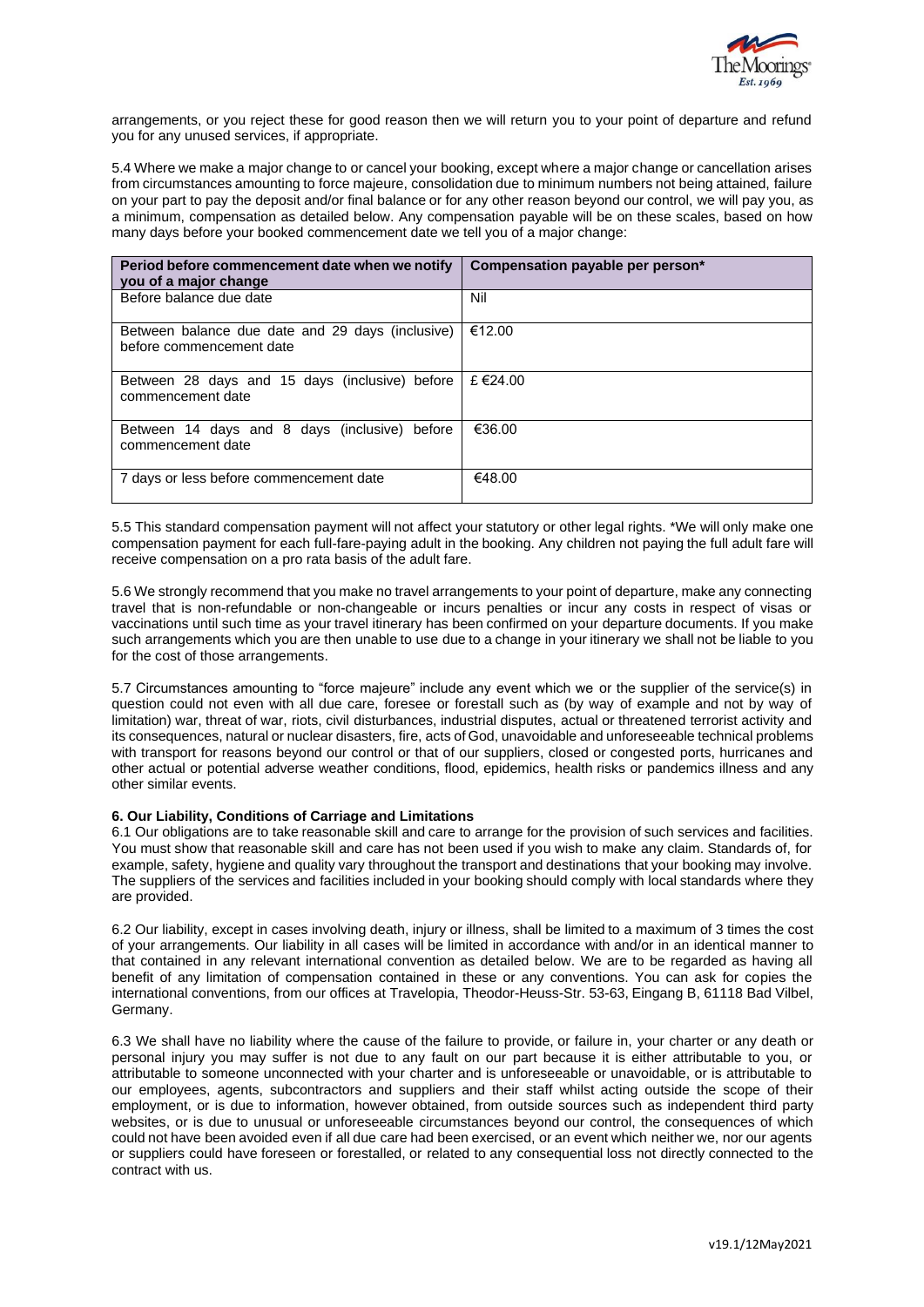

arrangements, or you reject these for good reason then we will return you to your point of departure and refund you for any unused services, if appropriate.

5.4 Where we make a major change to or cancel your booking, except where a major change or cancellation arises from circumstances amounting to force majeure, consolidation due to minimum numbers not being attained, failure on your part to pay the deposit and/or final balance or for any other reason beyond our control, we will pay you, as a minimum, compensation as detailed below. Any compensation payable will be on these scales, based on how many days before your booked commencement date we tell you of a major change:

| Period before commencement date when we notify<br>you of a major change      | Compensation payable per person* |
|------------------------------------------------------------------------------|----------------------------------|
| Before balance due date                                                      | Nil                              |
| Between balance due date and 29 days (inclusive)<br>before commencement date | €12.00                           |
| Between 28 days and 15 days (inclusive) before<br>commencement date          | £ €24.00                         |
| Between 14 days and 8 days (inclusive) before<br>commencement date           | €36.00                           |
| 7 days or less before commencement date                                      | €48.00                           |

5.5 This standard compensation payment will not affect your statutory or other legal rights. \*We will only make one compensation payment for each full-fare-paying adult in the booking. Any children not paying the full adult fare will receive compensation on a pro rata basis of the adult fare.

5.6 We strongly recommend that you make no travel arrangements to your point of departure, make any connecting travel that is non-refundable or non-changeable or incurs penalties or incur any costs in respect of visas or vaccinations until such time as your travel itinerary has been confirmed on your departure documents. If you make such arrangements which you are then unable to use due to a change in your itinerary we shall not be liable to you for the cost of those arrangements.

5.7 Circumstances amounting to "force majeure" include any event which we or the supplier of the service(s) in question could not even with all due care, foresee or forestall such as (by way of example and not by way of limitation) war, threat of war, riots, civil disturbances, industrial disputes, actual or threatened terrorist activity and its consequences, natural or nuclear disasters, fire, acts of God, unavoidable and unforeseeable technical problems with transport for reasons beyond our control or that of our suppliers, closed or congested ports, hurricanes and other actual or potential adverse weather conditions, flood, epidemics, health risks or pandemics illness and any other similar events.

## **6. Our Liability, Conditions of Carriage and Limitations**

6.1 Our obligations are to take reasonable skill and care to arrange for the provision of such services and facilities. You must show that reasonable skill and care has not been used if you wish to make any claim. Standards of, for example, safety, hygiene and quality vary throughout the transport and destinations that your booking may involve. The suppliers of the services and facilities included in your booking should comply with local standards where they are provided.

6.2 Our liability, except in cases involving death, injury or illness, shall be limited to a maximum of 3 times the cost of your arrangements. Our liability in all cases will be limited in accordance with and/or in an identical manner to that contained in any relevant international convention as detailed below. We are to be regarded as having all benefit of any limitation of compensation contained in these or any conventions. You can ask for copies the international conventions, from our offices at Travelopia, Theodor-Heuss-Str. 53-63, Eingang B, 61118 Bad Vilbel, Germany.

6.3 We shall have no liability where the cause of the failure to provide, or failure in, your charter or any death or personal injury you may suffer is not due to any fault on our part because it is either attributable to you, or attributable to someone unconnected with your charter and is unforeseeable or unavoidable, or is attributable to our employees, agents, subcontractors and suppliers and their staff whilst acting outside the scope of their employment, or is due to information, however obtained, from outside sources such as independent third party websites, or is due to unusual or unforeseeable circumstances beyond our control, the consequences of which could not have been avoided even if all due care had been exercised, or an event which neither we, nor our agents or suppliers could have foreseen or forestalled, or related to any consequential loss not directly connected to the contract with us.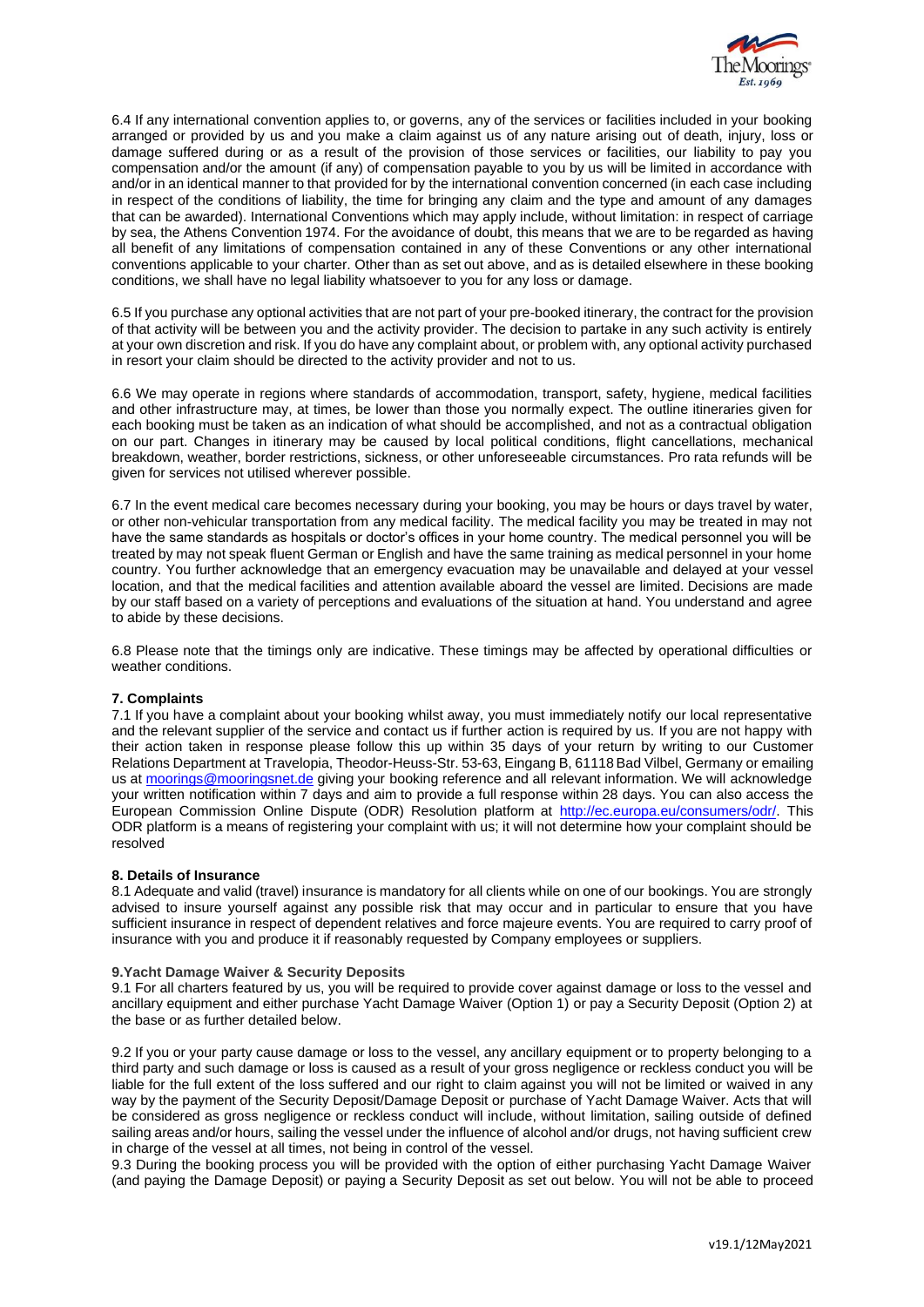

6.4 If any international convention applies to, or governs, any of the services or facilities included in your booking arranged or provided by us and you make a claim against us of any nature arising out of death, injury, loss or damage suffered during or as a result of the provision of those services or facilities, our liability to pay you compensation and/or the amount (if any) of compensation payable to you by us will be limited in accordance with and/or in an identical manner to that provided for by the international convention concerned (in each case including in respect of the conditions of liability, the time for bringing any claim and the type and amount of any damages that can be awarded). International Conventions which may apply include, without limitation: in respect of carriage by sea, the Athens Convention 1974. For the avoidance of doubt, this means that we are to be regarded as having all benefit of any limitations of compensation contained in any of these Conventions or any other international conventions applicable to your charter. Other than as set out above, and as is detailed elsewhere in these booking conditions, we shall have no legal liability whatsoever to you for any loss or damage.

6.5 If you purchase any optional activities that are not part of your pre-booked itinerary, the contract for the provision of that activity will be between you and the activity provider. The decision to partake in any such activity is entirely at your own discretion and risk. If you do have any complaint about, or problem with, any optional activity purchased in resort your claim should be directed to the activity provider and not to us.

6.6 We may operate in regions where standards of accommodation, transport, safety, hygiene, medical facilities and other infrastructure may, at times, be lower than those you normally expect. The outline itineraries given for each booking must be taken as an indication of what should be accomplished, and not as a contractual obligation on our part. Changes in itinerary may be caused by local political conditions, flight cancellations, mechanical breakdown, weather, border restrictions, sickness, or other unforeseeable circumstances. Pro rata refunds will be given for services not utilised wherever possible.

6.7 In the event medical care becomes necessary during your booking, you may be hours or days travel by water, or other non-vehicular transportation from any medical facility. The medical facility you may be treated in may not have the same standards as hospitals or doctor's offices in your home country. The medical personnel you will be treated by may not speak fluent German or English and have the same training as medical personnel in your home country. You further acknowledge that an emergency evacuation may be unavailable and delayed at your vessel location, and that the medical facilities and attention available aboard the vessel are limited. Decisions are made by our staff based on a variety of perceptions and evaluations of the situation at hand. You understand and agree to abide by these decisions.

6.8 Please note that the timings only are indicative. These timings may be affected by operational difficulties or weather conditions.

## **7. Complaints**

7.1 If you have a complaint about your booking whilst away, you must immediately notify our local representative and the relevant supplier of the service and contact us if further action is required by us. If you are not happy with their action taken in response please follow this up within 35 days of your return by writing to our Customer Relations Department at Travelopia, Theodor-Heuss-Str. 53-63, Eingang B, 61118 Bad Vilbel, Germany or emailing us at [moorings@mooringsnet.de](mailto:moorings@mooringsnet.de) giving your booking reference and all relevant information. We will acknowledge your written notification within 7 days and aim to provide a full response within 28 days. You can also access the European Commission Online Dispute (ODR) Resolution platform at [http://ec.europa.eu/consumers/odr/.](http://ec.europa.eu/consumers/odr/) This ODR platform is a means of registering your complaint with us; it will not determine how your complaint should be resolved

## **8. Details of Insurance**

8.1 Adequate and valid (travel) insurance is mandatory for all clients while on one of our bookings. You are strongly advised to insure yourself against any possible risk that may occur and in particular to ensure that you have sufficient insurance in respect of dependent relatives and force majeure events. You are required to carry proof of insurance with you and produce it if reasonably requested by Company employees or suppliers.

## **9.Yacht Damage Waiver & Security Deposits**

9.1 For all charters featured by us, you will be required to provide cover against damage or loss to the vessel and ancillary equipment and either purchase Yacht Damage Waiver (Option 1) or pay a Security Deposit (Option 2) at the base or as further detailed below.

9.2 If you or your party cause damage or loss to the vessel, any ancillary equipment or to property belonging to a third party and such damage or loss is caused as a result of your gross negligence or reckless conduct you will be liable for the full extent of the loss suffered and our right to claim against you will not be limited or waived in any way by the payment of the Security Deposit/Damage Deposit or purchase of Yacht Damage Waiver. Acts that will be considered as gross negligence or reckless conduct will include, without limitation, sailing outside of defined sailing areas and/or hours, sailing the vessel under the influence of alcohol and/or drugs, not having sufficient crew in charge of the vessel at all times, not being in control of the vessel.

9.3 During the booking process you will be provided with the option of either purchasing Yacht Damage Waiver (and paying the Damage Deposit) or paying a Security Deposit as set out below. You will not be able to proceed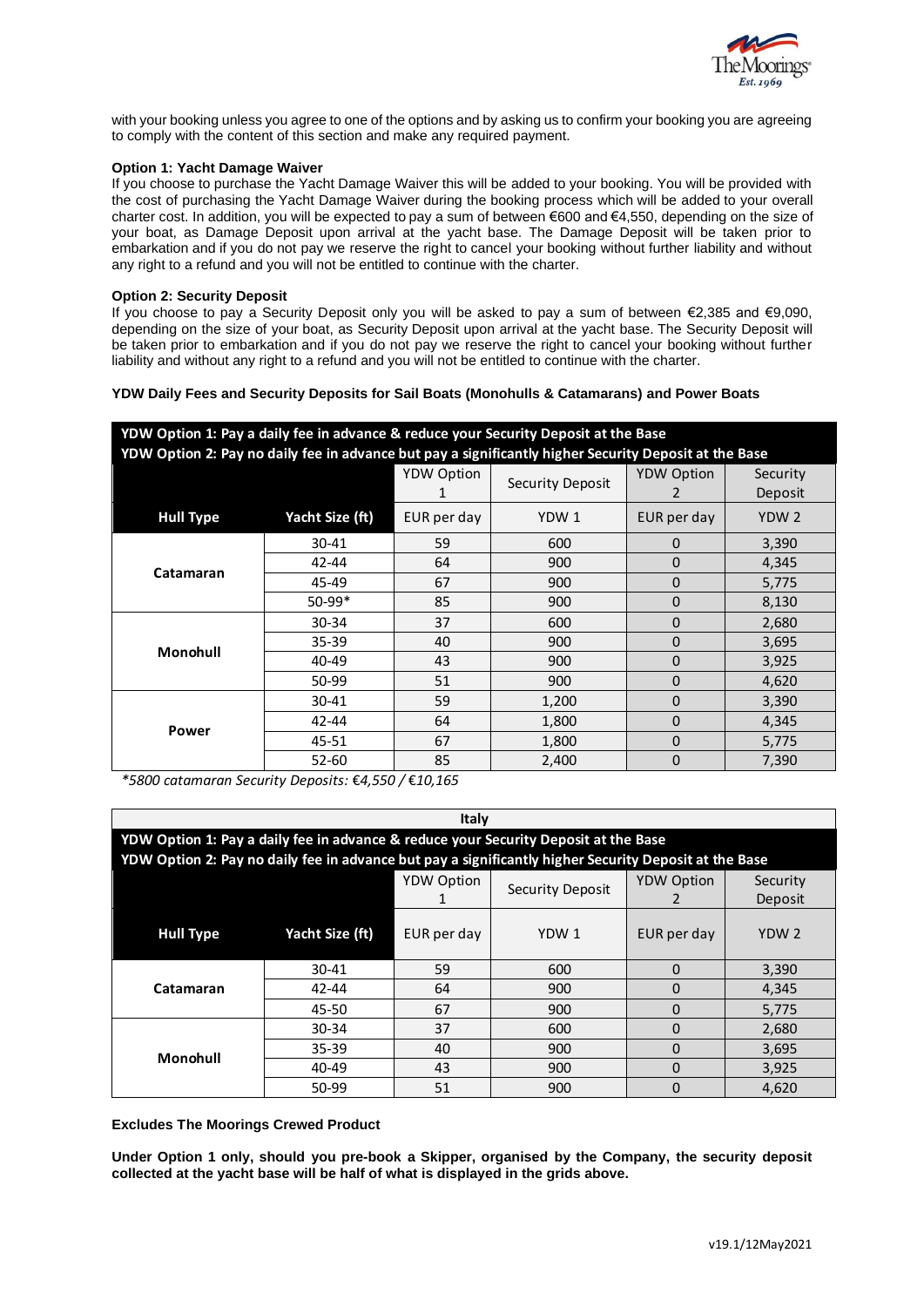

with your booking unless you agree to one of the options and by asking us to confirm your booking you are agreeing to comply with the content of this section and make any required payment.

## **Option 1: Yacht Damage Waiver**

If you choose to purchase the Yacht Damage Waiver this will be added to your booking. You will be provided with the cost of purchasing the Yacht Damage Waiver during the booking process which will be added to your overall charter cost. In addition, you will be expected to pay a sum of between €600 and €4,550, depending on the size of your boat, as Damage Deposit upon arrival at the yacht base. The Damage Deposit will be taken prior to embarkation and if you do not pay we reserve the right to cancel your booking without further liability and without any right to a refund and you will not be entitled to continue with the charter.

## **Option 2: Security Deposit**

If you choose to pay a Security Deposit only you will be asked to pay a sum of between €2,385 and €9,090, depending on the size of your boat, as Security Deposit upon arrival at the yacht base. The Security Deposit will be taken prior to embarkation and if you do not pay we reserve the right to cancel your booking without further liability and without any right to a refund and you will not be entitled to continue with the charter.

## **YDW Daily Fees and Security Deposits for Sail Boats (Monohulls & Catamarans) and Power Boats**

| YDW Option 1: Pay a daily fee in advance & reduce your Security Deposit at the Base                   |                 |                                              |                   |              |                  |  |  |
|-------------------------------------------------------------------------------------------------------|-----------------|----------------------------------------------|-------------------|--------------|------------------|--|--|
| YDW Option 2: Pay no daily fee in advance but pay a significantly higher Security Deposit at the Base |                 |                                              |                   |              |                  |  |  |
|                                                                                                       |                 | <b>YDW Option</b><br><b>Security Deposit</b> | <b>YDW Option</b> | Security     |                  |  |  |
|                                                                                                       |                 |                                              |                   | 2            | Deposit          |  |  |
| <b>Hull Type</b>                                                                                      | Yacht Size (ft) | EUR per day                                  | YDW <sub>1</sub>  | EUR per day  | YDW <sub>2</sub> |  |  |
| Catamaran                                                                                             | $30 - 41$       | 59                                           | 600               | 0            | 3,390            |  |  |
|                                                                                                       | $42 - 44$       | 64                                           | 900               | $\Omega$     | 4,345            |  |  |
|                                                                                                       | 45-49           | 67                                           | 900               | $\Omega$     | 5,775            |  |  |
|                                                                                                       | 50-99*          | 85                                           | 900               | 0            | 8,130            |  |  |
| Monohull                                                                                              | 30-34           | 37                                           | 600               | $\Omega$     | 2,680            |  |  |
|                                                                                                       | 35-39           | 40                                           | 900               | $\mathbf{0}$ | 3,695            |  |  |
|                                                                                                       | 40-49           | 43                                           | 900               | 0            | 3,925            |  |  |
|                                                                                                       | 50-99           | 51                                           | 900               | 0            | 4,620            |  |  |
| Power                                                                                                 | 30-41           | 59                                           | 1,200             | 0            | 3,390            |  |  |
|                                                                                                       | 42-44           | 64                                           | 1,800             | 0            | 4,345            |  |  |
|                                                                                                       | 45-51           | 67                                           | 1,800             | $\mathbf{0}$ | 5,775            |  |  |
|                                                                                                       | $52 - 60$       | 85                                           | 2,400             | 0            | 7,390            |  |  |

*\*5800 catamaran Security Deposits:* €*4,550 /* €*10,165*

| Italy                                                                                                 |                 |                   |                         |                   |                  |  |  |  |
|-------------------------------------------------------------------------------------------------------|-----------------|-------------------|-------------------------|-------------------|------------------|--|--|--|
| YDW Option 1: Pay a daily fee in advance & reduce your Security Deposit at the Base                   |                 |                   |                         |                   |                  |  |  |  |
| YDW Option 2: Pay no daily fee in advance but pay a significantly higher Security Deposit at the Base |                 |                   |                         |                   |                  |  |  |  |
|                                                                                                       |                 | <b>YDW Option</b> | <b>Security Deposit</b> | <b>YDW Option</b> | Security         |  |  |  |
|                                                                                                       |                 |                   |                         |                   | Deposit          |  |  |  |
| <b>Hull Type</b>                                                                                      | Yacht Size (ft) | EUR per day       | YDW 1                   | EUR per day       | YDW <sub>2</sub> |  |  |  |
| Catamaran                                                                                             | $30 - 41$       | 59                | 600                     | $\Omega$          | 3,390            |  |  |  |
|                                                                                                       | 42-44           | 64                | 900                     | $\Omega$          | 4,345            |  |  |  |
|                                                                                                       | 45-50           | 67                | 900                     | 0                 | 5,775            |  |  |  |
| Monohull                                                                                              | 30-34           | 37                | 600                     | $\Omega$          | 2,680            |  |  |  |
|                                                                                                       | $35 - 39$       | 40                | 900                     | $\Omega$          | 3,695            |  |  |  |
|                                                                                                       | 40-49           | 43                | 900                     | $\Omega$          | 3,925            |  |  |  |
|                                                                                                       | 50-99           | 51                | 900                     | $\Omega$          | 4,620            |  |  |  |

**Excludes The Moorings Crewed Product**

**Under Option 1 only, should you pre-book a Skipper, organised by the Company, the security deposit collected at the yacht base will be half of what is displayed in the grids above.**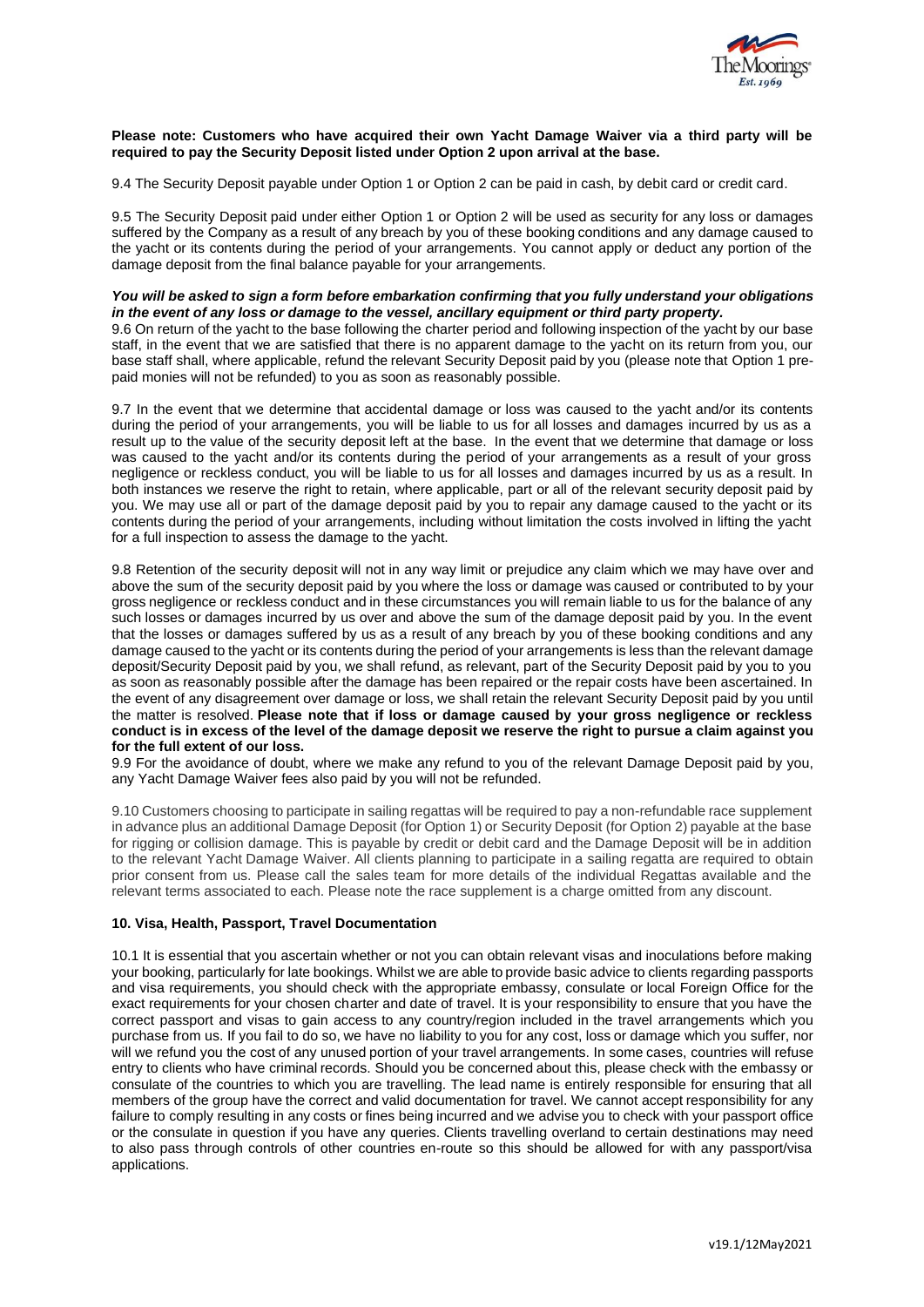

### **Please note: Customers who have acquired their own Yacht Damage Waiver via a third party will be required to pay the Security Deposit listed under Option 2 upon arrival at the base.**

9.4 The Security Deposit payable under Option 1 or Option 2 can be paid in cash, by debit card or credit card.

9.5 The Security Deposit paid under either Option 1 or Option 2 will be used as security for any loss or damages suffered by the Company as a result of any breach by you of these booking conditions and any damage caused to the yacht or its contents during the period of your arrangements. You cannot apply or deduct any portion of the damage deposit from the final balance payable for your arrangements.

### *You will be asked to sign a form before embarkation confirming that you fully understand your obligations in the event of any loss or damage to the vessel, ancillary equipment or third party property.*

9.6 On return of the yacht to the base following the charter period and following inspection of the yacht by our base staff, in the event that we are satisfied that there is no apparent damage to the yacht on its return from you, our base staff shall, where applicable, refund the relevant Security Deposit paid by you (please note that Option 1 prepaid monies will not be refunded) to you as soon as reasonably possible.

9.7 In the event that we determine that accidental damage or loss was caused to the yacht and/or its contents during the period of your arrangements, you will be liable to us for all losses and damages incurred by us as a result up to the value of the security deposit left at the base. In the event that we determine that damage or loss was caused to the yacht and/or its contents during the period of your arrangements as a result of your gross negligence or reckless conduct, you will be liable to us for all losses and damages incurred by us as a result. In both instances we reserve the right to retain, where applicable, part or all of the relevant security deposit paid by you. We may use all or part of the damage deposit paid by you to repair any damage caused to the yacht or its contents during the period of your arrangements, including without limitation the costs involved in lifting the yacht for a full inspection to assess the damage to the yacht.

9.8 Retention of the security deposit will not in any way limit or prejudice any claim which we may have over and above the sum of the security deposit paid by you where the loss or damage was caused or contributed to by your gross negligence or reckless conduct and in these circumstances you will remain liable to us for the balance of any such losses or damages incurred by us over and above the sum of the damage deposit paid by you. In the event that the losses or damages suffered by us as a result of any breach by you of these booking conditions and any damage caused to the yacht or its contents during the period of your arrangements is less than the relevant damage deposit/Security Deposit paid by you, we shall refund, as relevant, part of the Security Deposit paid by you to you as soon as reasonably possible after the damage has been repaired or the repair costs have been ascertained. In the event of any disagreement over damage or loss, we shall retain the relevant Security Deposit paid by you until the matter is resolved. **Please note that if loss or damage caused by your gross negligence or reckless** conduct is in excess of the level of the damage deposit we reserve the right to pursue a claim against you **for the full extent of our loss.**

9.9 For the avoidance of doubt, where we make any refund to you of the relevant Damage Deposit paid by you, any Yacht Damage Waiver fees also paid by you will not be refunded.

9.10 Customers choosing to participate in sailing regattas will be required to pay a non-refundable race supplement in advance plus an additional Damage Deposit (for Option 1) or Security Deposit (for Option 2) payable at the base for rigging or collision damage. This is payable by credit or debit card and the Damage Deposit will be in addition to the relevant Yacht Damage Waiver. All clients planning to participate in a sailing regatta are required to obtain prior consent from us. Please call the sales team for more details of the individual Regattas available and the relevant terms associated to each. Please note the race supplement is a charge omitted from any discount.

## **10. Visa, Health, Passport, Travel Documentation**

10.1 It is essential that you ascertain whether or not you can obtain relevant visas and inoculations before making your booking, particularly for late bookings. Whilst we are able to provide basic advice to clients regarding passports and visa requirements, you should check with the appropriate embassy, consulate or local Foreign Office for the exact requirements for your chosen charter and date of travel. It is your responsibility to ensure that you have the correct passport and visas to gain access to any country/region included in the travel arrangements which you purchase from us. If you fail to do so, we have no liability to you for any cost, loss or damage which you suffer, nor will we refund you the cost of any unused portion of your travel arrangements. In some cases, countries will refuse entry to clients who have criminal records. Should you be concerned about this, please check with the embassy or consulate of the countries to which you are travelling. The lead name is entirely responsible for ensuring that all members of the group have the correct and valid documentation for travel. We cannot accept responsibility for any failure to comply resulting in any costs or fines being incurred and we advise you to check with your passport office or the consulate in question if you have any queries. Clients travelling overland to certain destinations may need to also pass through controls of other countries en-route so this should be allowed for with any passport/visa applications.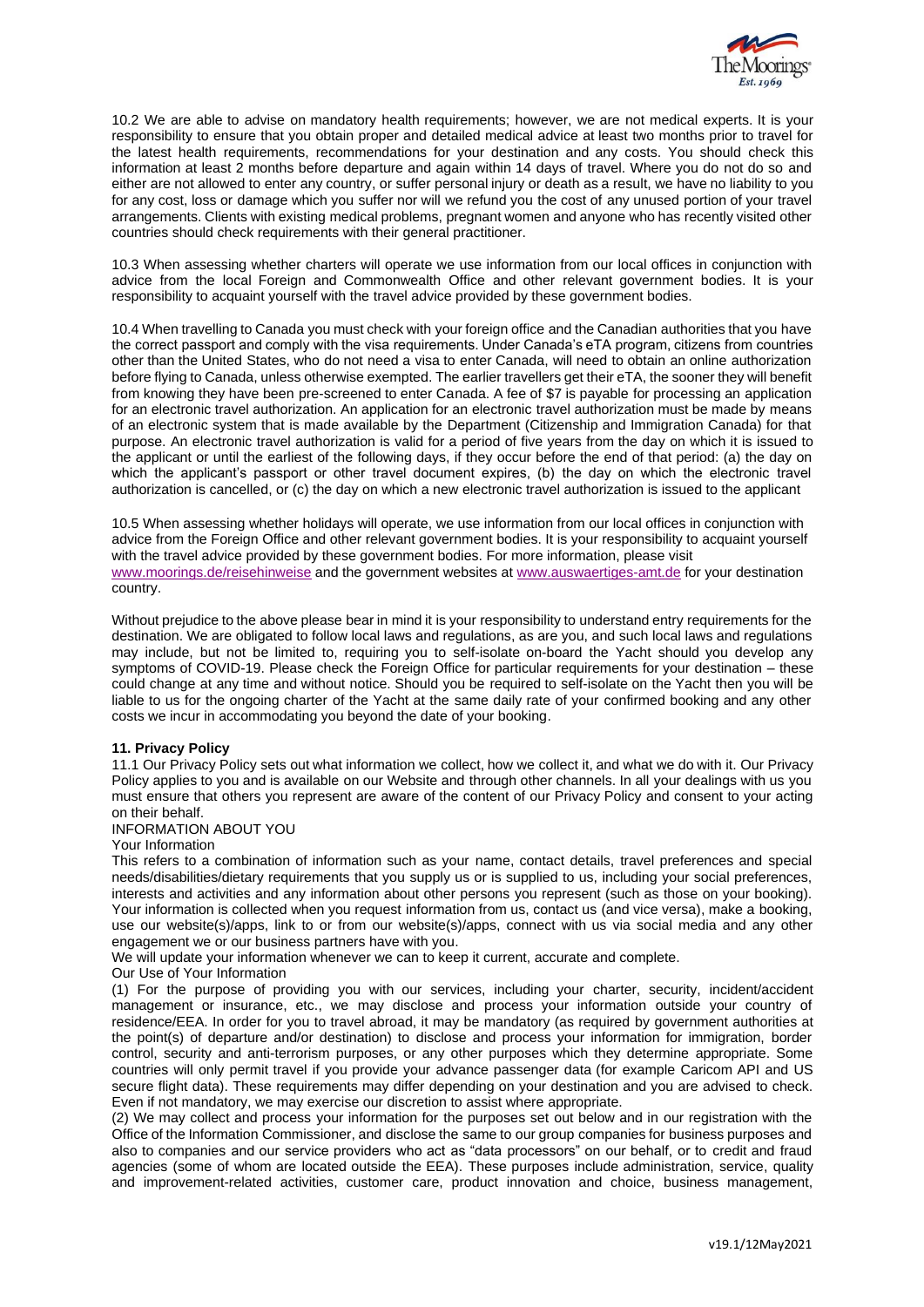

10.2 We are able to advise on mandatory health requirements; however, we are not medical experts. It is your responsibility to ensure that you obtain proper and detailed medical advice at least two months prior to travel for the latest health requirements, recommendations for your destination and any costs. You should check this information at least 2 months before departure and again within 14 days of travel. Where you do not do so and either are not allowed to enter any country, or suffer personal injury or death as a result, we have no liability to you for any cost, loss or damage which you suffer nor will we refund you the cost of any unused portion of your travel arrangements. Clients with existing medical problems, pregnant women and anyone who has recently visited other countries should check requirements with their general practitioner.

10.3 When assessing whether charters will operate we use information from our local offices in conjunction with advice from the local Foreign and Commonwealth Office and other relevant government bodies. It is your responsibility to acquaint yourself with the travel advice provided by these government bodies.

10.4 When travelling to Canada you must check with your foreign office and the Canadian authorities that you have the correct passport and comply with the visa requirements. Under Canada's eTA program, citizens from countries other than the United States, who do not need a visa to enter Canada, will need to obtain an online authorization before flying to Canada, unless otherwise exempted. The earlier travellers get their eTA, the sooner they will benefit from knowing they have been pre-screened to enter Canada. A fee of \$7 is payable for processing an application for an electronic travel authorization. An application for an electronic travel authorization must be made by means of an electronic system that is made available by the Department (Citizenship and Immigration Canada) for that purpose. An electronic travel authorization is valid for a period of five years from the day on which it is issued to the applicant or until the earliest of the following days, if they occur before the end of that period: (a) the day on which the applicant's passport or other travel document expires, (b) the day on which the electronic travel authorization is cancelled, or (c) the day on which a new electronic travel authorization is issued to the applicant

10.5 When assessing whether holidays will operate, we use information from our local offices in conjunction with advice from the Foreign Office and other relevant government bodies. It is your responsibility to acquaint yourself with the travel advice provided by these government bodies. For more information, please visit [www.moorings.de/reisehinweise](http://www.moorings.de/reisehinweise) and the government websites at [www.auswaertiges-amt.de](http://www.auswaertiges-amt.de/) for your destination country.

Without prejudice to the above please bear in mind it is your responsibility to understand entry requirements for the destination. We are obligated to follow local laws and regulations, as are you, and such local laws and regulations may include, but not be limited to, requiring you to self-isolate on-board the Yacht should you develop any symptoms of COVID-19. Please check the Foreign Office for particular requirements for your destination – these could change at any time and without notice. Should you be required to self-isolate on the Yacht then you will be liable to us for the ongoing charter of the Yacht at the same daily rate of your confirmed booking and any other costs we incur in accommodating you beyond the date of your booking.

## **11. Privacy Policy**

11.1 Our Privacy Policy sets out what information we collect, how we collect it, and what we do with it. Our Privacy Policy applies to you and is available on our Website and through other channels. In all your dealings with us you must ensure that others you represent are aware of the content of our Privacy Policy and consent to your acting on their behalf.

## INFORMATION ABOUT YOU

Your Information

This refers to a combination of information such as your name, contact details, travel preferences and special needs/disabilities/dietary requirements that you supply us or is supplied to us, including your social preferences, interests and activities and any information about other persons you represent (such as those on your booking). Your information is collected when you request information from us, contact us (and vice versa), make a booking, use our website(s)/apps, link to or from our website(s)/apps, connect with us via social media and any other engagement we or our business partners have with you.

We will update your information whenever we can to keep it current, accurate and complete.

#### Our Use of Your Information

(1) For the purpose of providing you with our services, including your charter, security, incident/accident management or insurance, etc., we may disclose and process your information outside your country of residence/EEA. In order for you to travel abroad, it may be mandatory (as required by government authorities at the point(s) of departure and/or destination) to disclose and process your information for immigration, border control, security and anti-terrorism purposes, or any other purposes which they determine appropriate. Some countries will only permit travel if you provide your advance passenger data (for example Caricom API and US secure flight data). These requirements may differ depending on your destination and you are advised to check. Even if not mandatory, we may exercise our discretion to assist where appropriate.

(2) We may collect and process your information for the purposes set out below and in our registration with the Office of the Information Commissioner, and disclose the same to our group companies for business purposes and also to companies and our service providers who act as "data processors" on our behalf, or to credit and fraud agencies (some of whom are located outside the EEA). These purposes include administration, service, quality and improvement-related activities, customer care, product innovation and choice, business management,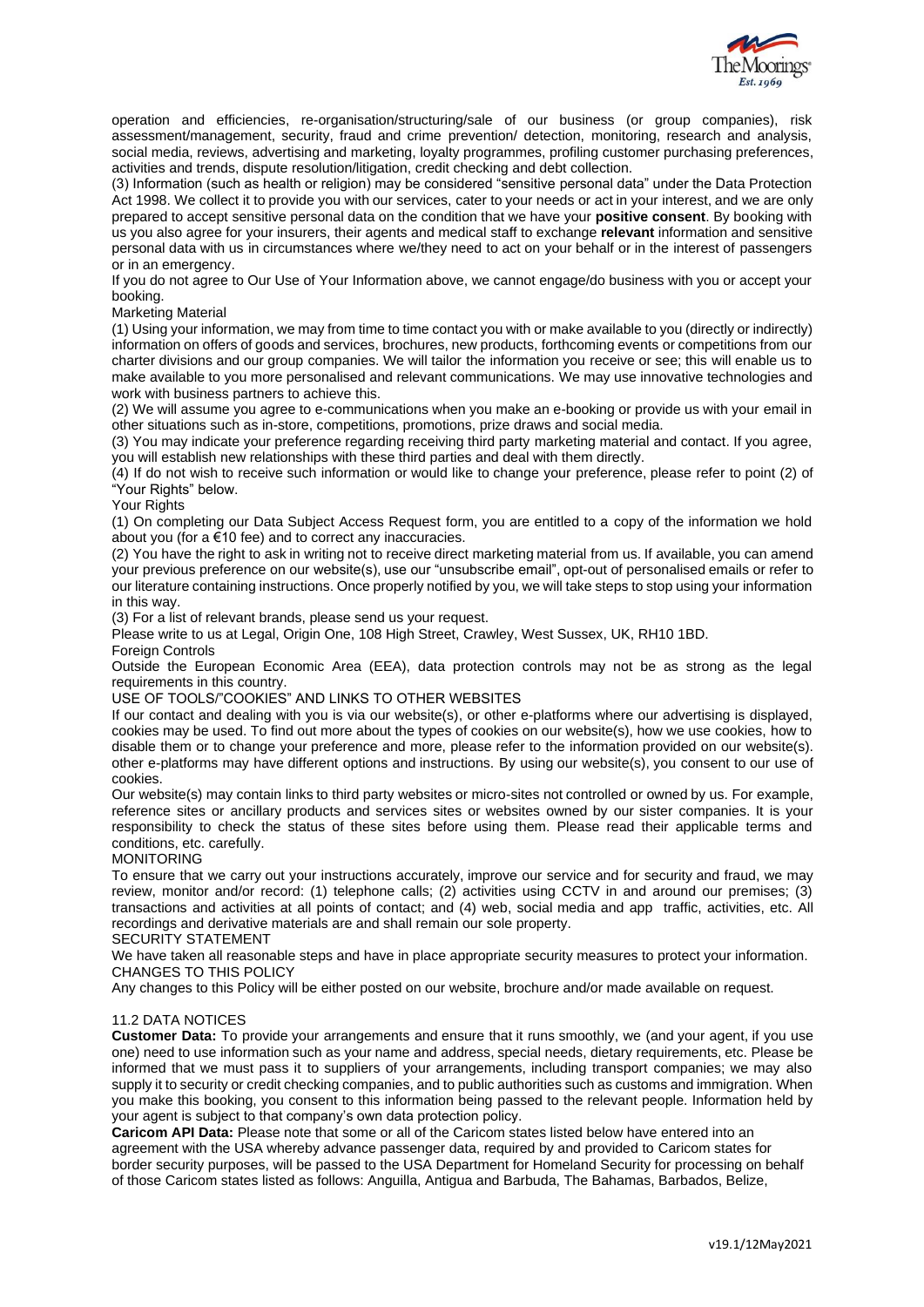

operation and efficiencies, re-organisation/structuring/sale of our business (or group companies), risk assessment/management, security, fraud and crime prevention/ detection, monitoring, research and analysis, social media, reviews, advertising and marketing, loyalty programmes, profiling customer purchasing preferences, activities and trends, dispute resolution/litigation, credit checking and debt collection.

(3) Information (such as health or religion) may be considered "sensitive personal data" under the Data Protection Act 1998. We collect it to provide you with our services, cater to your needs or act in your interest, and we are only prepared to accept sensitive personal data on the condition that we have your **positive consent**. By booking with us you also agree for your insurers, their agents and medical staff to exchange **relevant** information and sensitive personal data with us in circumstances where we/they need to act on your behalf or in the interest of passengers or in an emergency.

If you do not agree to Our Use of Your Information above, we cannot engage/do business with you or accept your booking.

Marketing Material

(1) Using your information, we may from time to time contact you with or make available to you (directly or indirectly) information on offers of goods and services, brochures, new products, forthcoming events or competitions from our charter divisions and our group companies. We will tailor the information you receive or see; this will enable us to make available to you more personalised and relevant communications. We may use innovative technologies and work with business partners to achieve this.

(2) We will assume you agree to e-communications when you make an e-booking or provide us with your email in other situations such as in-store, competitions, promotions, prize draws and social media.

(3) You may indicate your preference regarding receiving third party marketing material and contact. If you agree, you will establish new relationships with these third parties and deal with them directly.

(4) If do not wish to receive such information or would like to change your preference, please refer to point (2) of "Your Rights" below.

Your Rights

(1) On completing our Data Subject Access Request form, you are entitled to a copy of the information we hold about you (for a  $\epsilon$ 10 fee) and to correct any inaccuracies.

(2) You have the right to ask in writing not to receive direct marketing material from us. If available, you can amend your previous preference on our website(s), use our "unsubscribe email", opt-out of personalised emails or refer to our literature containing instructions. Once properly notified by you, we will take steps to stop using your information in this way.

(3) For a list of relevant brands, please send us your request.

Please write to us at Legal, Origin One, 108 High Street, Crawley, West Sussex, UK, RH10 1BD. **Foreign Controls** 

Outside the European Economic Area (EEA), data protection controls may not be as strong as the legal requirements in this country.

USE OF TOOLS/"COOKIES" AND LINKS TO OTHER WEBSITES

If our contact and dealing with you is via our website(s), or other e-platforms where our advertising is displayed, cookies may be used. To find out more about the types of cookies on our website(s), how we use cookies, how to disable them or to change your preference and more, please refer to the information provided on our website(s). other e-platforms may have different options and instructions. By using our website(s), you consent to our use of cookies.

Our website(s) may contain links to third party websites or micro-sites not controlled or owned by us. For example, reference sites or ancillary products and services sites or websites owned by our sister companies. It is your responsibility to check the status of these sites before using them. Please read their applicable terms and conditions, etc. carefully.

MONITORING

To ensure that we carry out your instructions accurately, improve our service and for security and fraud, we may review, monitor and/or record: (1) telephone calls; (2) activities using CCTV in and around our premises; (3) transactions and activities at all points of contact; and (4) web, social media and app traffic, activities, etc. All recordings and derivative materials are and shall remain our sole property.

SECURITY STATEMENT

We have taken all reasonable steps and have in place appropriate security measures to protect your information. CHANGES TO THIS POLICY

Any changes to this Policy will be either posted on our website, brochure and/or made available on request.

## 11.2 DATA NOTICES

**Customer Data:** To provide your arrangements and ensure that it runs smoothly, we (and your agent, if you use one) need to use information such as your name and address, special needs, dietary requirements, etc. Please be informed that we must pass it to suppliers of your arrangements, including transport companies; we may also supply it to security or credit checking companies, and to public authorities such as customs and immigration. When you make this booking, you consent to this information being passed to the relevant people. Information held by your agent is subject to that company's own data protection policy.

**Caricom API Data:** Please note that some or all of the Caricom states listed below have entered into an agreement with the USA whereby advance passenger data, required by and provided to Caricom states for border security purposes, will be passed to the USA Department for Homeland Security for processing on behalf of those Caricom states listed as follows: Anguilla, Antigua and Barbuda, The Bahamas, Barbados, Belize,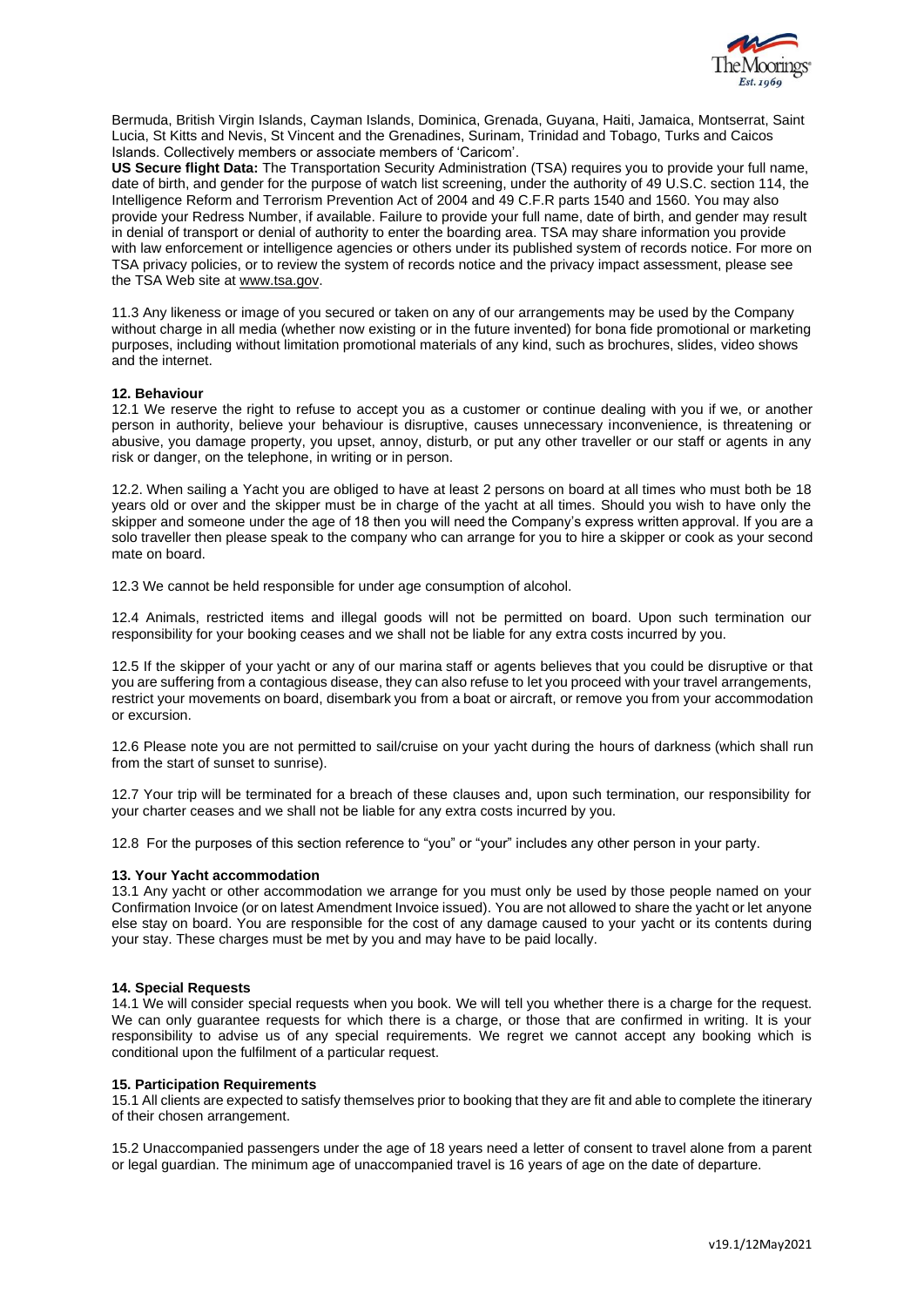

Bermuda, British Virgin Islands, Cayman Islands, Dominica, Grenada, Guyana, Haiti, Jamaica, Montserrat, Saint Lucia, St Kitts and Nevis, St Vincent and the Grenadines, Surinam, Trinidad and Tobago, Turks and Caicos Islands. Collectively members or associate members of 'Caricom'.

**US Secure flight Data:** The Transportation Security Administration (TSA) requires you to provide your full name, date of birth, and gender for the purpose of watch list screening, under the authority of 49 U.S.C. section 114, the Intelligence Reform and Terrorism Prevention Act of 2004 and 49 C.F.R parts 1540 and 1560. You may also provide your Redress Number, if available. Failure to provide your full name, date of birth, and gender may result in denial of transport or denial of authority to enter the boarding area. TSA may share information you provide with law enforcement or intelligence agencies or others under its published system of records notice. For more on TSA privacy policies, or to review the system of records notice and the privacy impact assessment, please see the TSA Web site at [www.tsa.gov.](http://www.tsa.gov/)

11.3 Any likeness or image of you secured or taken on any of our arrangements may be used by the Company without charge in all media (whether now existing or in the future invented) for bona fide promotional or marketing purposes, including without limitation promotional materials of any kind, such as brochures, slides, video shows and the internet.

## **12. Behaviour**

12.1 We reserve the right to refuse to accept you as a customer or continue dealing with you if we, or another person in authority, believe your behaviour is disruptive, causes unnecessary inconvenience, is threatening or abusive, you damage property, you upset, annoy, disturb, or put any other traveller or our staff or agents in any risk or danger, on the telephone, in writing or in person.

12.2. When sailing a Yacht you are obliged to have at least 2 persons on board at all times who must both be 18 years old or over and the skipper must be in charge of the yacht at all times. Should you wish to have only the skipper and someone under the age of 18 then you will need the Company's express written approval. If you are a solo traveller then please speak to the company who can arrange for you to hire a skipper or cook as your second mate on board.

12.3 We cannot be held responsible for under age consumption of alcohol.

12.4 Animals, restricted items and illegal goods will not be permitted on board. Upon such termination our responsibility for your booking ceases and we shall not be liable for any extra costs incurred by you.

12.5 If the skipper of your yacht or any of our marina staff or agents believes that you could be disruptive or that you are suffering from a contagious disease, they can also refuse to let you proceed with your travel arrangements, restrict your movements on board, disembark you from a boat or aircraft, or remove you from your accommodation or excursion.

12.6 Please note you are not permitted to sail/cruise on your yacht during the hours of darkness (which shall run from the start of sunset to sunrise).

12.7 Your trip will be terminated for a breach of these clauses and, upon such termination, our responsibility for your charter ceases and we shall not be liable for any extra costs incurred by you.

12.8 For the purposes of this section reference to "you" or "your" includes any other person in your party.

#### **13. Your Yacht accommodation**

13.1 Any yacht or other accommodation we arrange for you must only be used by those people named on your Confirmation Invoice (or on latest Amendment Invoice issued). You are not allowed to share the yacht or let anyone else stay on board. You are responsible for the cost of any damage caused to your yacht or its contents during your stay. These charges must be met by you and may have to be paid locally.

### **14. Special Requests**

14.1 We will consider special requests when you book. We will tell you whether there is a charge for the request. We can only guarantee requests for which there is a charge, or those that are confirmed in writing. It is your responsibility to advise us of any special requirements. We regret we cannot accept any booking which is conditional upon the fulfilment of a particular request.

### **15. Participation Requirements**

15.1 All clients are expected to satisfy themselves prior to booking that they are fit and able to complete the itinerary of their chosen arrangement.

15.2 Unaccompanied passengers under the age of 18 years need a letter of consent to travel alone from a parent or legal guardian. The minimum age of unaccompanied travel is 16 years of age on the date of departure.